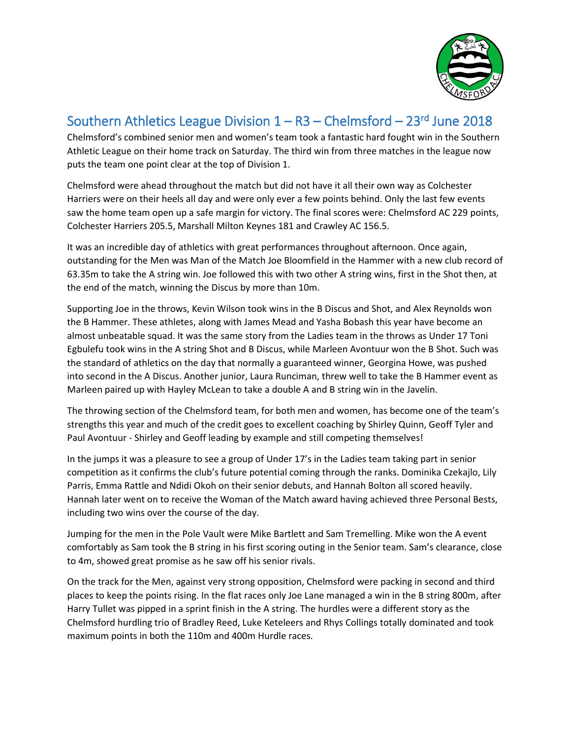

## Southern Athletics League Division 1 – R3 – Chelmsford – 23<sup>rd</sup> June 2018

Chelmsford's combined senior men and women's team took a fantastic hard fought win in the Southern Athletic League on their home track on Saturday. The third win from three matches in the league now puts the team one point clear at the top of Division 1.

Chelmsford were ahead throughout the match but did not have it all their own way as Colchester Harriers were on their heels all day and were only ever a few points behind. Only the last few events saw the home team open up a safe margin for victory. The final scores were: Chelmsford AC 229 points, Colchester Harriers 205.5, Marshall Milton Keynes 181 and Crawley AC 156.5.

It was an incredible day of athletics with great performances throughout afternoon. Once again, outstanding for the Men was Man of the Match Joe Bloomfield in the Hammer with a new club record of 63.35m to take the A string win. Joe followed this with two other A string wins, first in the Shot then, at the end of the match, winning the Discus by more than 10m.

Supporting Joe in the throws, Kevin Wilson took wins in the B Discus and Shot, and Alex Reynolds won the B Hammer. These athletes, along with James Mead and Yasha Bobash this year have become an almost unbeatable squad. It was the same story from the Ladies team in the throws as Under 17 Toni Egbulefu took wins in the A string Shot and B Discus, while Marleen Avontuur won the B Shot. Such was the standard of athletics on the day that normally a guaranteed winner, Georgina Howe, was pushed into second in the A Discus. Another junior, Laura Runciman, threw well to take the B Hammer event as Marleen paired up with Hayley McLean to take a double A and B string win in the Javelin.

The throwing section of the Chelmsford team, for both men and women, has become one of the team's strengths this year and much of the credit goes to excellent coaching by Shirley Quinn, Geoff Tyler and Paul Avontuur - Shirley and Geoff leading by example and still competing themselves!

In the jumps it was a pleasure to see a group of Under 17's in the Ladies team taking part in senior competition as it confirms the club's future potential coming through the ranks. Dominika Czekajlo, Lily Parris, Emma Rattle and Ndidi Okoh on their senior debuts, and Hannah Bolton all scored heavily. Hannah later went on to receive the Woman of the Match award having achieved three Personal Bests, including two wins over the course of the day.

Jumping for the men in the Pole Vault were Mike Bartlett and Sam Tremelling. Mike won the A event comfortably as Sam took the B string in his first scoring outing in the Senior team. Sam's clearance, close to 4m, showed great promise as he saw off his senior rivals.

On the track for the Men, against very strong opposition, Chelmsford were packing in second and third places to keep the points rising. In the flat races only Joe Lane managed a win in the B string 800m, after Harry Tullet was pipped in a sprint finish in the A string. The hurdles were a different story as the Chelmsford hurdling trio of Bradley Reed, Luke Keteleers and Rhys Collings totally dominated and took maximum points in both the 110m and 400m Hurdle races.